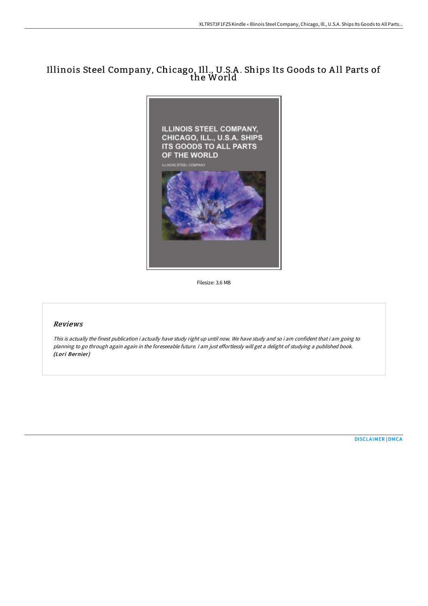# Illinois Steel Company, Chicago, Ill., U.S.A. Ships Its Goods to All Parts of the World



Filesize: 3.6 MB

# Reviews

This is actually the finest publication i actually have study right up until now. We have study and so i am confident that i am going to planning to go through again again in the foreseeable future. <sup>I</sup> am just effortlessly will get <sup>a</sup> delight of studying <sup>a</sup> published book. (Lori Bernier)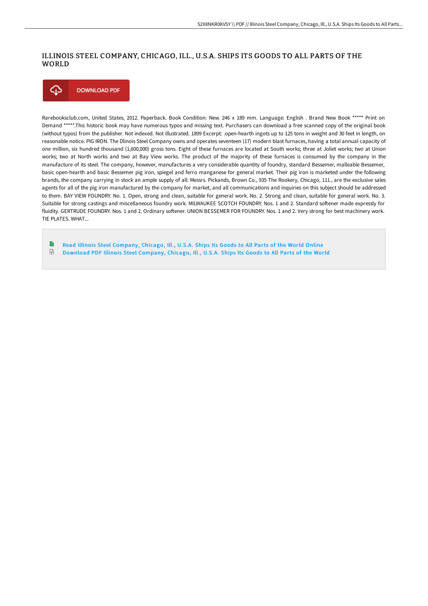### ILLINOIS STEEL COMPANY, CHICAGO, ILL., U.S.A. SHIPS ITS GOODS TO ALL PARTS OF THE WORLD



Rarebooksclub.com, United States, 2012. Paperback. Book Condition: New. 246 x 189 mm. Language: English . Brand New Book \*\*\*\*\* Print on Demand \*\*\*\*\*.This historic book may have numerous typos and missing text. Purchasers can download a free scanned copy of the original book (without typos) from the publisher. Not indexed. Not illustrated. 1899 Excerpt: .open-hearth ingots up to 125 tons in weight and 30 feet in length, on reasonable notice. PIG IRON. The Dlinois Steel Company owns and operates seventeen (17) modern blast furnaces, having a total annual capacity of one million, six hundred thousand (1,600,000) gross tons. Eight of these furnaces are located at South works; three at Joliet works; two at Union works; two at North works and two at Bay View works. The product of the majority of these furnaces is consumed by the company in the manufacture of its steel. The company, however, manufactures a very considerable quantity of foundry, standard Bessemer, malleable Bessemer, basic open-hearth and basic Bessemer pig iron, spiegel and ferro manganese for general market. Their pig iron is marketed under the following brands, the company carrying in stock an ample supply of all: Messrs. Pickands, Brown Co., 935 The Rookery, Chicago, 111., are the exclusive sales agents for all of the pig iron manufactured by the company for market, and all communications and inquiries on this subject should be addressed to them. BAY VIEW FOUNDRY. No. 1. Open, strong and clean, suitable for general work. No. 2. Strong and clean, suitable for general work. No. 3. Suitable for strong castings and miscellaneous foundry work. MILWAUKEE SCOTCH FOUNDRY. Nos. 1 and 2. Standard softener made expressly for fluidity. GERTRUDE FOUNDRY. Nos. 1 and 2. Ordinary softener. UNION BESSEMER FOR FOUNDRY. Nos. 1 and 2. Very strong for best machinery work. TIE PLATES. WHAT...

B Read Illinois Steel [Company,](http://techno-pub.tech/illinois-steel-company-chicago-ill-u-s-a-ships-i-1.html) Chicago, Ill., U.S.A. Ships Its Goods to All Parts of the World Online € Download PDF Illinois Steel [Company,](http://techno-pub.tech/illinois-steel-company-chicago-ill-u-s-a-ships-i-1.html) Chicago, Ill., U.S.A. Ships Its Goods to All Parts of the World